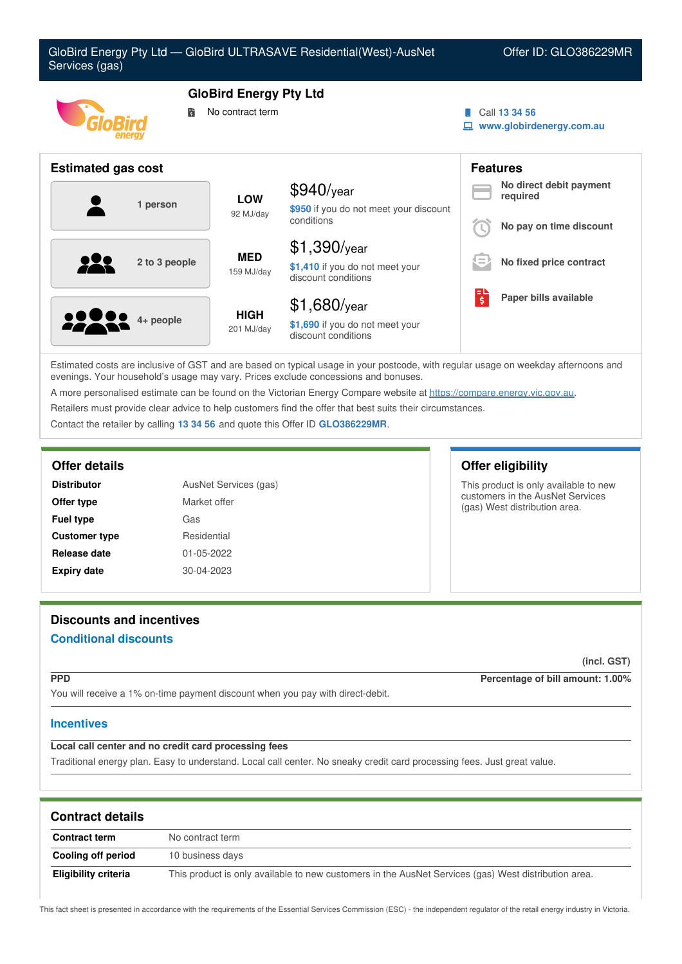

Estimated costs are inclusive of GST and are based on typical usage in your postcode, with regular usage on weekday afternoons and evenings. Your household's usage may vary. Prices exclude concessions and bonuses.

A more personalised estimate can be found on the Victorian Energy Compare website at <https://compare.energy.vic.gov.au>.

Retailers must provide clear advice to help customers find the offer that best suits their circumstances.

Contact the retailer by calling **13 34 56** and quote this Offer ID **GLO386229MR**.

| AusNet Services (gas)<br><b>Distributor</b> |              |
|---------------------------------------------|--------------|
| Offer type                                  | Market offer |
| <b>Fuel type</b>                            | Gas          |
| <b>Customer type</b>                        | Residential  |
| Release date                                | 01-05-2022   |
| <b>Expiry date</b>                          | 30-04-2023   |

## **Offer details Offer eligibility**

This product is only available to new customers in the AusNet Services (gas) West distribution area.

# **Discounts and incentives Conditional discounts**

**(incl. GST)**

**PPD Percentage of bill amount: 1.00%**

You will receive a 1% on-time payment discount when you pay with direct-debit.

### **Incentives**

## **Local call center and no credit card processing fees**

Traditional energy plan. Easy to understand. Local call center. No sneaky credit card processing fees. Just great value.

| <b>Contract details</b> |                                                                                                      |  |
|-------------------------|------------------------------------------------------------------------------------------------------|--|
| <b>Contract term</b>    | No contract term                                                                                     |  |
| Cooling off period      | 10 business days                                                                                     |  |
| Eligibility criteria    | This product is only available to new customers in the AusNet Services (gas) West distribution area. |  |

This fact sheet is presented in accordance with the requirements of the Essential Services Commission (ESC) - the independent regulator of the retail energy industry in Victoria.